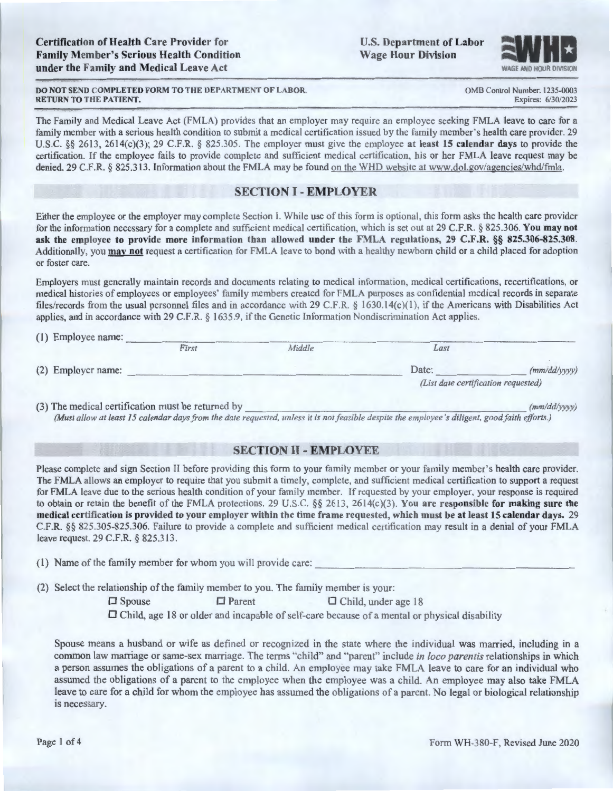U.S. Department of Labor **Wage Hour Division** 



OMB Control Number: 1235-0003 Expires: 6/30/2023

**DO NOT SEND COMPLETED FORM TO THE DEPARTMENT OF LABOR. RETURN TO THE PATIENT.** 

The Family and Medical Leave Act (FMLA) provides that an employer may require an employee seeking FMLA leave to care for a family member with a serious health condition to submit a medical certification issued by the family member's health care provider. 29 U.S.C. §§ 2613, 2614(c)(3); 29 C.F.R. § 825.305. The employer must give the employee **at least 15 calendar days** to provide the certification. If the employee fails to provide complete and sufficient medical certification, his or her FMLA leave request may be denied. 29 C.F.R. § 825.313. Information about the FMLA may be found on the WHD website at www.dol. gov/agencies/whd/fmla.

# **SECTION** I - **EMPLOYER**

Either the employee or the employer may complete Section I. While use of this form is optional, this form asks the health care provider for the information necessary for a complete and sufficient medical certification, which is set out at 29 C.F.R. § 825.306. **You may not ask the employee to provide more information than allowed under the FMLA regulations, 29 C.F.R.** §§ **825.306-825.308.**  Additionally, you **may not** request a certification for FMLA leave to bond with a healthy newborn child or a child placed for adoption or foster care.

Employers must generally maintain records and documents relating to medical information, medical certifications, recertifications, or medical histories of employees or employees' family members created for FMLA purposes as confidential medical records in separate files/records from the usual personnel files and in accordance with 29 C.F.R. § 1630.14(c)(l ), if the Americans with Disabilities Act applies, and in accordance with 29 C.F.R. § 1635.9, if the Genetic Information Nondiscrimination Act applies.

|  | (1) Employee name: |       |        |                                     |              |
|--|--------------------|-------|--------|-------------------------------------|--------------|
|  |                    | First | Middle | Last                                |              |
|  | (2) Employer name: |       |        | Date:                               | (mm/dd/yyyy) |
|  |                    |       |        | (List date certification requested) |              |

(3) The medical certification must be returned by *(mmlddlyyyy) (Must allow at least 15 calendar days from the date requested, unless it is not feasible despite the employee 's diligent, good faith efforts.)* 

# **SECTION 11** - **EMPLOYEE**

Please complete and sign Section II before providing this form to your family member or your family member's health care provider. The FMLA allows an employer to require that you submit a timely, complete, and sufficient medical certification to support a request for FMLA leave due to the serious health condition of your family member. If requested by your employer, your response is required to obtain or retain the benefit of the FMLA protections. 29 U.S.C. §§ 2613, 2614(c)(3). **You are responsible for making sure the medical certification is provided to your employer within the time frame requested, which must be at least 15 calendar days.** 29 C.F.R. §§ 825.305-825.306. Failure to provide a complete and sufficient medical certification may result in a denial of your FMLA leave request. 29 C.F.R. § 825.3 13.

 $(1)$  Name of the family member for whom you will provide care:

(2) Select the relationship of the family member to you. The family member is your:

 $\Box$  Spouse  $\Box$  Parent  $\Box$  Child, under age 18

 $\Box$  Child, age 18 or older and incapable of self-care because of a mental or physical disability

Spouse means a husband or wife as defined or recognized in the state where the individual was married, including in a common law marriage or same-sex marriage. The terms "child" and "parent" include *in loco parentis* relationships in which a person assumes the obligations of a parent to a child. An employee may take FMLA leave to care for an individual who assumed the obligations of a parent to the employee when the employee was a child. An employee may also take FMLA leave to care for a child for whom the employee has assumed the obligations of a parent. No legal or biological relationship is necessary.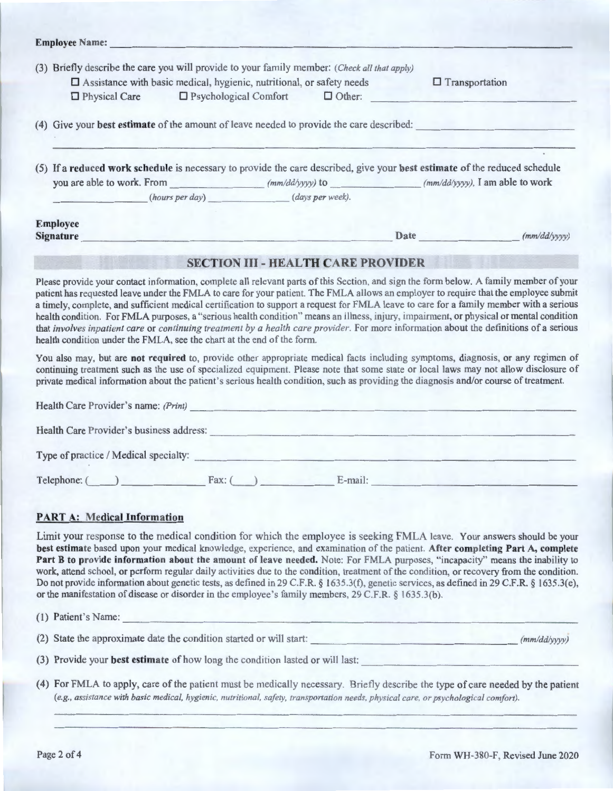| (3) | Briefly describe the care you will provide to your family member: (Check all that apply)<br>□ Assistance with basic medical, hygienic, nutritional, or safety needs |  |                                                                                                                            |  |  |  |
|-----|---------------------------------------------------------------------------------------------------------------------------------------------------------------------|--|----------------------------------------------------------------------------------------------------------------------------|--|--|--|
|     | $\Box$ Physical Care $\Box$ Psychological Comfort $\Box$ Other:                                                                                                     |  | $\Box$ Transportation                                                                                                      |  |  |  |
|     | (4) Give your best estimate of the amount of leave needed to provide the care described:                                                                            |  |                                                                                                                            |  |  |  |
|     |                                                                                                                                                                     |  |                                                                                                                            |  |  |  |
|     |                                                                                                                                                                     |  | (5) If a reduced work schedule is necessary to provide the care described, give your best estimate of the reduced schedule |  |  |  |
|     |                                                                                                                                                                     |  |                                                                                                                            |  |  |  |
|     | (hours per day) (days per week).                                                                                                                                    |  |                                                                                                                            |  |  |  |

### **SECTION** III - **HEAL TH CARE PROVIDER**

Please provide your contact information, complete all relevant parts of this Section, and sign the form below. A family member of your patient has requested leave under the FMLA to care for your patient. The FMLA allows an employer to require that the employee submit a timely, complete, and sufficient medical certification to support a request for FMLA leave to care for a family member with a serious health condition. For FMLA purposes, a "serious health condition" means an illness, injury, impairment, or physical or mental condition that *involves inpatient care* or *continuing treatment by a health care provider.* For more information about the definitions of a serious health condition under the FMLA, see the chart at the end of the form.

You also may, but are **not required** to, provide other appropriate medical facts including symptoms, diagnosis, or any regimen of continuing treatment such as the use of specialized equipment. Please note that some state or local laws may not allow disclosure of private medical information about the patient's serious health condition, such as providing the diagnosis and/or course of treatment.

| Health Care Provider's name: (Print)     |          |            |  |
|------------------------------------------|----------|------------|--|
| Health Care Provider's business address: |          |            |  |
| Type of practice / Medical specialty:    |          |            |  |
| Telephone: (                             | $Fax:$ ( | $E$ -mail: |  |

# **PART A: Medical Information**

Limit your response to the medical condition for which the employee is seeking FMLA leave. Your answers should be your **best estimate** based upon your medical knowledge, experience, and examination of the patient. **After completing Part A, complete Part B to provide information about the amount of leave needed.** Note: For FMLA purposes, "incapacity" means the inability to work, attend school, or perform regular daily activities due to the condition, treatment of the condition, or recovery from the condition. Do not provide information about genetic tests, as defined in 29 C.F.R. § I 635.3(f), genetic services, as defined in 29 C.F.R. § 1635.3(e), or the manifestation of disease or disorder in the employee 's family members, 29 C.F.R. § 1635.3(b).

| As the second control of mentennia or menter may see the average a law a second is a second man and man if a salar laid |              |
|-------------------------------------------------------------------------------------------------------------------------|--------------|
| (1) Patient's Name:                                                                                                     |              |
| (2) State the approximate date the condition started or will start:                                                     | (mm/dd/vvvv) |

- (3) Provide your **best estimate** of how long the condition lasted or will last:
- ( 4) For FMLA to apply, care of the patient must be medically necessary. Briefly describe the type of care needed by the patient *(e.g., assistance with basic medical, hygienic, nutritional, safety, transportation needs. physical care, or psychological comfort).*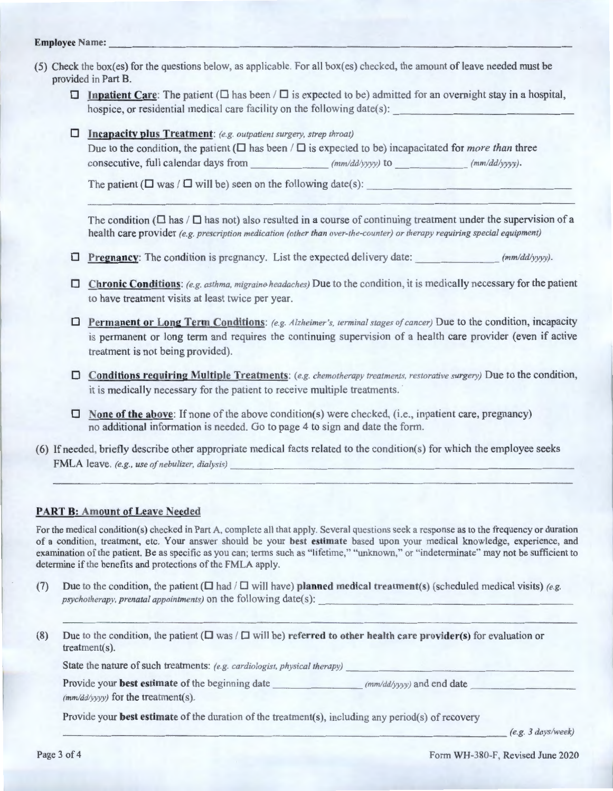# **Employee ame:** ----- ------ - ------------- ------ ---------

- (5) Check the box(es) for the questions below, as applicable. For all box(es) checked, the amount ofleave needed must be provided in Part B.
	- $\Box$  **Inpatient Care:** The patient ( $\Box$  has been / $\Box$  is expected to be) admitted for an overnight stay in a hospital, hospice, or residential medical care facility on the following date(s):
	- □ **Incapacity plus Treatment:** (e.g. outpatient surgery, strep throat) Due to the condition, the patient ( $\square$  has been / $\square$  is expected to be) incapacitated for *more than* three consecutive, full calendar days from *(mm/dd/yyyy)* to *(mm/dd/yyyy)*.

The patient ( $\square$  was /  $\square$  will be) seen on the following date(s):

The condition ( $\Box$  has / $\Box$  has not) also resulted in a course of continuing treatment under the supervision of a health care provider *(e.g. prescription medication (other than over-the-counter) or therapy requiring special equipment)* 

- $\Box$  **Pregnancy**: The condition is pregnancy. List the expected delivery date: *(mm/dd/yyyy).*
- □ Chronic Conditions: *(e.g. asthma, migraine headaches)* Due to the condition, it is medically necessary for the patient to have treatment visits at least twice per year.
- D **Permanent or Long Term Conditions:** *(e.g. Alzheimer's, terminal stages of cancer)* Due to the condition, incapacity is permanent or long term and requires the continuing supervision of a health care provider (even if active treatment is not being provided).
- D **Conditions requiring Multiple Treatments:** *(e.g. chemotherapy treatments, restorative surgery)* Due to the condition, it is medically necessary for the patient to receive multiple treatments.
- □ **None of the above**: If none of the above condition(s) were checked, (i.e., inpatient care, pregnancy) no additional information is needed. Go to page 4 to sign and date the form.
- (6) If needed, briefly describe other appropriate medical facts related to the condition(s) for which the employee seeks FMLA leave. (e.g., use of nebulizer, dialysis)

### **PART B: Amount of Leave Needed**

For the medical condition(s) checked in Part A, complete all that apply. Several questions seek a response as to the frequency or duration of a condition, treatment, etc. Your answer should be your **best estimate** based upon your medical knowledge, experience, and examination of the patient. Be as specific as you can; terms such as "lifetime," "unknown," or "indeterminate" may not be sufficient to determine if the benefits and protections of the FMLA apply.

- (7) Due to the condition, the patient  $(\Box \text{ had } / \Box \text{ will have})$  planned medical treatment(s) (scheduled medical visits) (e.g. psychotherapy, prenatal appointments) on the following date(s):
- (8) Due to the condition, the patient  $(\Box \text{ was } / \Box \text{ will be})$  referred to other health care provider(s) for evaluation or  $treatment(s)$ .

State the nature of such treatments: *(e.g. cardiologist, physical therapy)* 

| Provide your <b>best estimate</b> of the beginning date | $(mm/dd/yyy)$ and end date |  |
|---------------------------------------------------------|----------------------------|--|
| $(mm/dd/yyyy)$ for the treatment(s).                    |                            |  |

Provide your **best estimate** of the duration of the treatment(s), including any period(s) of recovery *(e.g. 3 days/week) (e.g. 3 days/week)*